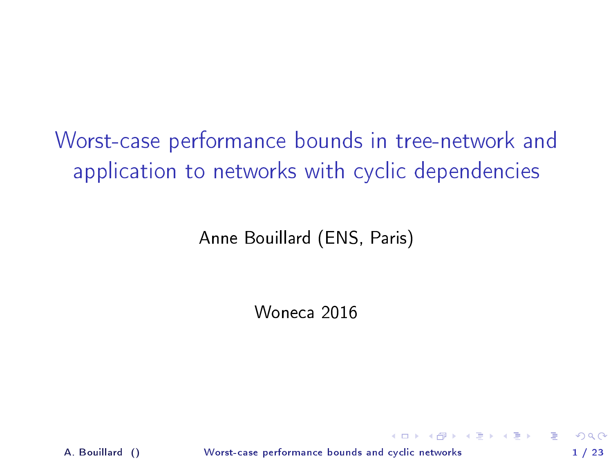Worst-case performance bounds in tree-network and application to networks with cyclic dependencies

Anne Bouillard (ENS, Paris)

Woneca 2016

A. Bouillard () [Worst-case performance bounds and cyclic networks](#page-26-0) 1 / 23

<span id="page-0-0"></span>**K ロ ト K 何 ト K ヨ ト K ヨ ト ニヨ**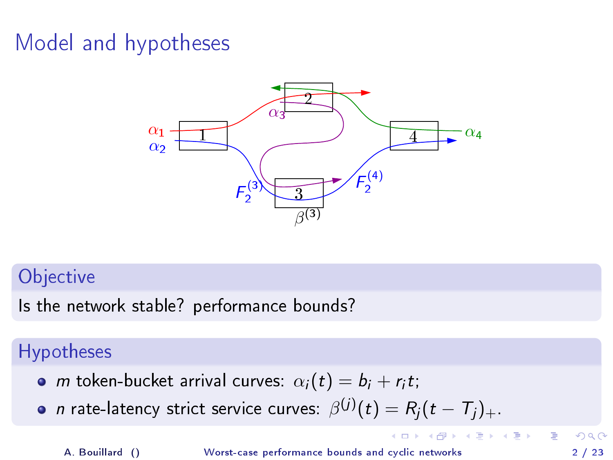# Model and hypotheses



#### **Objective**

Is the network stable? performance bounds?

### Hypotheses

- *m* token-bucket arrival curves:  $\alpha_i(t) = b_i + r_i t;$
- $n$  rate-latency strict service curves:  $\beta^{(j)}(t)=R_j(t-T_j)_+.$

A. Bouillard () [Worst-case performance bounds and cyclic networks](#page-0-0) 2 / 23

<span id="page-1-0"></span>目

 $4$  ロ }  $4$   $4$   $\oplus$  }  $4$   $\oplus$  }  $4$   $\oplus$  }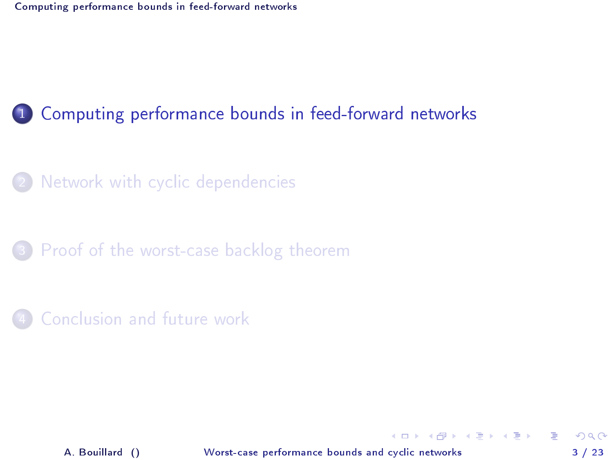[Network with cyclic dependencies](#page-7-0)

3 [Proof of the worst-case backlog theorem](#page-17-0)

[Conclusion and future work](#page-25-0)

A. Bouillard () [Worst-case performance bounds and cyclic networks](#page-0-0) 3 / 23

<span id="page-2-0"></span>÷.

イロト イ押ト イヨト イヨト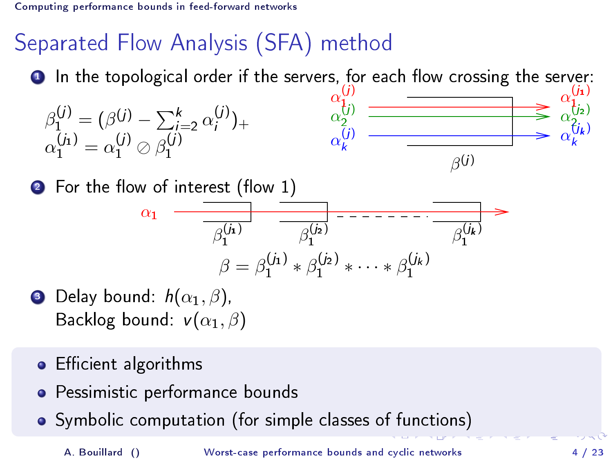# Separated Flow Analysis (SFA) method

 $\bullet$  In the topological order if the servers, for each flow crossing the server: (j)  $(i_1)$ 

$$
\beta_1^{(j)} = (\beta^{(j)} - \sum_{i=2}^k \alpha_i^{(j)})_+ \qquad \qquad \alpha_2^{(j)} = \frac{\alpha_2^{(j)}}{\alpha_k^{(j)}} \qquad \qquad \beta_2^{(j)} = \frac{\alpha_2^{(j)}}{\alpha_k^{(j)}} \qquad \qquad \beta_2^{(j)} = \frac{\alpha_2^{(j)}}{\alpha_k^{(j)}} \qquad \qquad \beta_2^{(j)}
$$

2 For the flow of interest (flow 1)

<span id="page-3-0"></span>
$$
\alpha_1 \quad \overline{\overline{\beta_1^{(j_1)}} \qquad \overline{\beta_1^{(j_2)}} \qquad \overline{\overline{\beta_1^{(j_2)}} \qquad \overline{\cdots} \qquad \overline{\beta_1^{(j_k)}}}}
$$
\n
$$
\beta = \beta_1^{(j_1)} * \beta_1^{(j_2)} * \cdots * \beta_1^{(j_k)}
$$

- **3** Delay bound:  $h(\alpha_1, \beta)$ , Backlog bound:  $v(\alpha_1, \beta)$
- Efficient algorithms  $\bullet$
- Pessimistic performance bounds  $\bullet$
- Symbolic computation (for simple classes o[f f](#page-2-0)[un](#page-4-0)[ct](#page-2-0)[io](#page-3-0)[n](#page-4-0)[s\)](#page-1-0)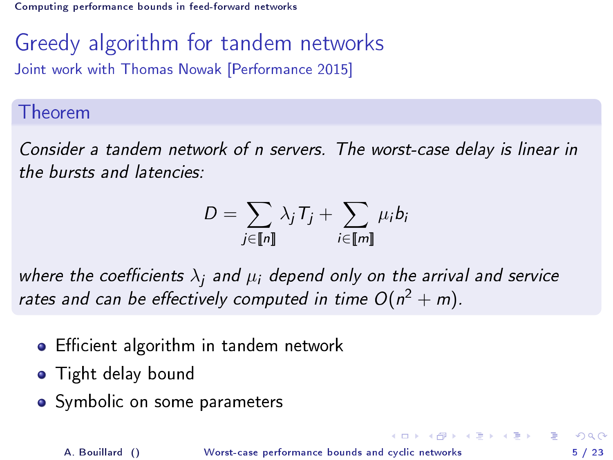Greedy algorithm for tandem networks Joint work with Thomas Nowak [Performance 2015]

#### Theorem

Consider a tandem network of n servers. The worst-case delay is linear in the bursts and latencies:

$$
D = \sum_{j \in [\![n]\!]} \lambda_j T_j + \sum_{i \in [\![m]\!]} \mu_i b_i
$$

where the coefficients  $\lambda_i$  and  $\mu_i$  depend only on the arrival and service rates and can be effectively computed in time  $O(n^2 + m)$ .

- **•** Efficient algorithm in tandem network
- **•** Tight delay bound
- Symbolic on some parameters

<span id="page-4-0"></span>아마 사이 이 사람이 사람이 있다.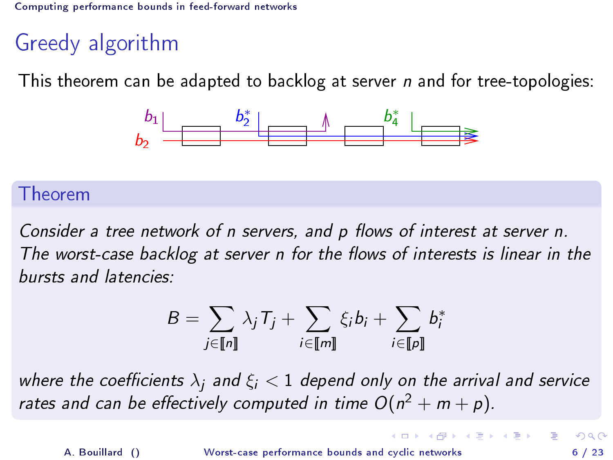# Greedy algorithm

This theorem can be adapted to backlog at server n and for tree-topologies:



#### Theorem

Consider a tree network of n servers, and  $p$  flows of interest at server n. The worst-case backlog at server n for the flows of interests is linear in the bursts and latencies:

$$
B = \sum_{j \in [\![n]\!]} \lambda_j T_j + \sum_{i \in [\![m]\!]} \xi_i b_i + \sum_{i \in [\![p]\!]} b_i^*
$$

where the coefficients  $\lambda_i$  and  $\xi_i < 1$  depend only on the arrival and service rates and can be effectively computed in time  $O(n^2 + m + p)$ .

<span id="page-5-0"></span> $\mathbf{A} \otimes \mathbf{A} \rightarrow \mathbf{A} \otimes \mathbf{A} \rightarrow \mathbf{A} \otimes \mathbf{A} \rightarrow \mathbf{A} \otimes \mathbf{A} \rightarrow \mathbf{A} \otimes \mathbf{A} \rightarrow \mathbf{A} \otimes \mathbf{A} \rightarrow \mathbf{A} \otimes \mathbf{A} \rightarrow \mathbf{A} \otimes \mathbf{A} \rightarrow \mathbf{A} \otimes \mathbf{A} \rightarrow \mathbf{A} \otimes \mathbf{A} \rightarrow \mathbf{A} \otimes \mathbf{A} \rightarrow \mathbf{A} \otimes \mathbf{A} \rightarrow \mathbf{A} \otimes \mathbf{A} \$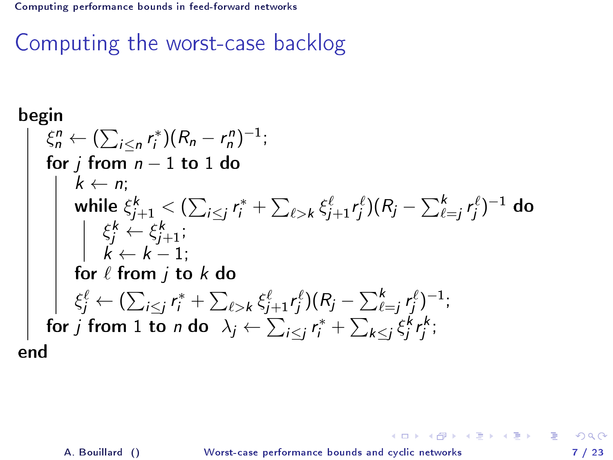Computing the worst-case backlog

begin\nbegin\n
$$
\begin{array}{l}\n\text{begin}\n\kint_{\Omega} \xi_{n}^{n} \leftarrow (\sum_{i \leq n} r_{i}^{*})(R_{n} - r_{n}^{n})^{-1}; \\
\text{for } j \text{ from } n - 1 \text{ to } 1 \text{ do} \\
k \leftarrow n; \\
\text{while } \xi_{j+1}^{k} < (\sum_{i \leq j} r_{i}^{*} + \sum_{\ell > k} \xi_{j+1}^{\ell} r_{j}^{\ell})(R_{j} - \sum_{\ell=j}^{k} r_{j}^{\ell})^{-1} \text{ do} \\
\begin{array}{l}\n\kint_{\Omega} \xi_{j}^{k} \leftarrow \xi_{j+1}^{k}; \\
\kint_{\Omega} \xi_{j}^{\ell} \leftarrow (1) \\
\text{for } \ell \text{ from } j \text{ to } k \text{ do} \\
\xi_{j}^{\ell} \leftarrow (\sum_{i \leq j} r_{i}^{*} + \sum_{\ell > k} \xi_{j+1}^{\ell} r_{j}^{\ell})(R_{j} - \sum_{\ell=j}^{k} r_{j}^{\ell})^{-1}; \\
\text{for } j \text{ from } 1 \text{ to } n \text{ do } \lambda_{j} \leftarrow \sum_{i \leq j} r_{i}^{*} + \sum_{k \leq j} \xi_{j}^{k} r_{j}^{k}; \\
\text{end}\n\end{array}
$$

A. Bouillard () [Worst-case performance bounds and cyclic networks](#page-0-0) 7 / 23

<span id="page-6-0"></span>K ロ ▶ K @ ▶ K 할 ▶ K 할 ▶ ... 할 ... 900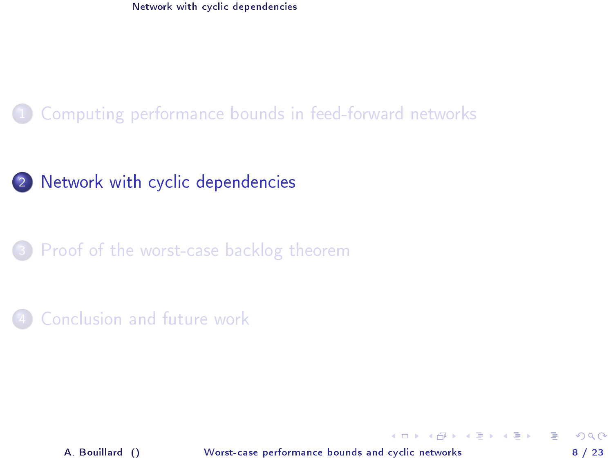### [Computing performance bounds in feed-forward networks](#page-2-0)

#### 2 [Network with cyclic dependencies](#page-7-0)

3 [Proof of the worst-case backlog theorem](#page-17-0)

#### [Conclusion and future work](#page-25-0)

A. Bouillard () [Worst-case performance bounds and cyclic networks](#page-0-0) 8 / 23

<span id="page-7-0"></span> $4$  ロ }  $4$   $4$   $\oplus$  }  $4$   $\oplus$  }  $4$   $\oplus$  }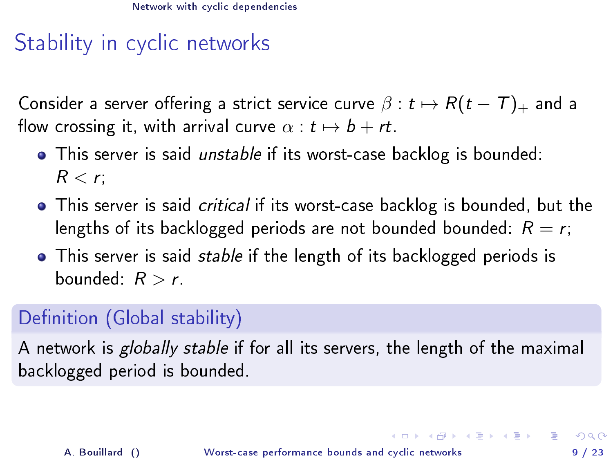# Stability in cyclic networks

Consider a server offering a strict service curve  $\beta : t \mapsto R(t - T)_{+}$  and a flow crossing it, with arrival curve  $\alpha : t \mapsto b + rt$ .

- **•** This server is said *unstable* if its worst-case backlog is bounded:  $R < r$ :
- **•** This server is said *critical* if its worst-case backlog is bounded, but the lengths of its backlogged periods are not bounded bounded:  $R = r$ ;
- **•** This server is said *stable* if the length of its backlogged periods is bounded:  $R > r$ .

## Definition (Global stability)

A network is globally stable if for all its servers, the length of the maximal backlogged period is bounded.

<span id="page-8-0"></span>K ロ ▶ K 個 ▶ K 할 ▶ K 할 ▶ 이 할 → 이익단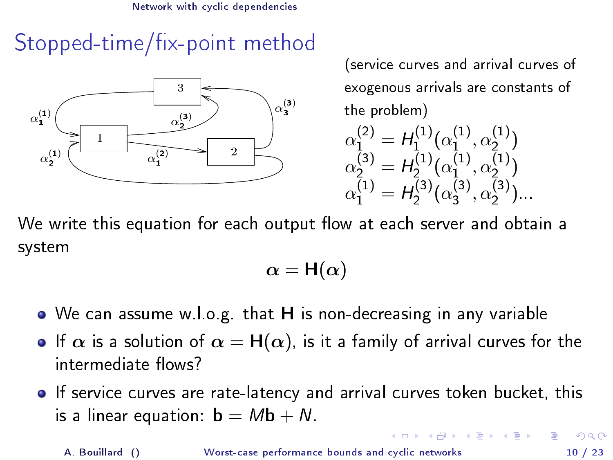# Stopped-time/fix-point method



(service curves and arrival curves of exogenous arrivals are constants of the problem)

$$
\alpha_1^{(2)} = H_1^{(1)}(\alpha_1^{(1)}, \alpha_2^{(1)}) \n\alpha_2^{(3)} = H_2^{(1)}(\alpha_1^{(1)}, \alpha_2^{(1)}) \n\alpha_1^{(1)} = H_2^{(3)}(\alpha_3^{(3)}, \alpha_2^{(3)})\n\ldots
$$

<span id="page-9-0"></span>( ロ ) ( 何 ) ( ヨ ) (

We write this equation for each output flow at each server and obtain a system

$$
\alpha = \mathsf{H}(\alpha)
$$

- We can assume w.l.o.g. that H is non-decreasing in any variable
- **•** If  $\alpha$  is a solution of  $\alpha = H(\alpha)$ , is it a family of arrival curves for the intermediate flows?
- If service curves are rate-latency and arrival curves token bucket, this is a linear equation:  $\mathbf{b} = M\mathbf{b} + N$ .

A. Bouillard () [Worst-case performance bounds and cyclic networks](#page-0-0) 10 / 23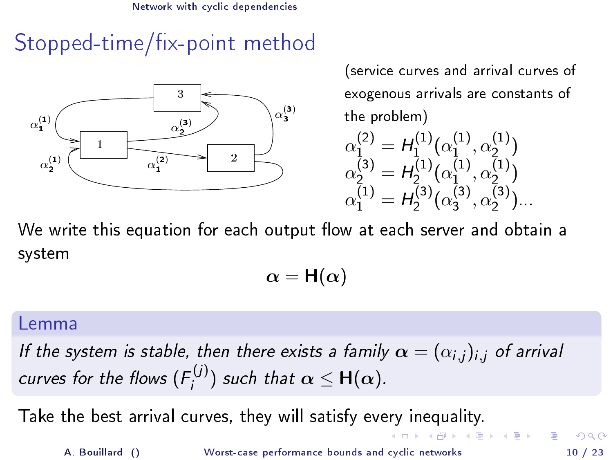# Stopped-time/fix-point method



(service curves and arrival curves of exogenous arrivals are constants of the problem)

$$
\alpha_1^{(2)} = H_1^{(1)}(\alpha_1^{(1)}, \alpha_2^{(1)})
$$
  
\n
$$
\alpha_2^{(3)} = H_2^{(1)}(\alpha_1^{(1)}, \alpha_2^{(1)})
$$
  
\n
$$
\alpha_1^{(1)} = H_2^{(3)}(\alpha_3^{(3)}, \alpha_2^{(3)})
$$

We write this equation for each output flow at each server and obtain a system

<span id="page-10-0"></span> $\alpha = H(\alpha)$ 

#### Lemma

If the system is stable, then there exists a family  $\alpha = (\alpha_{i,j})_{i,j}$  of arrival curves for the flows  $(F_i^{(j)})$  $\epsilon^{(J)}_i$ ) such that  $\alpha \leq \mathsf{H}(\alpha)$ .

Take the best arrival curves, they will satisfy every inequality.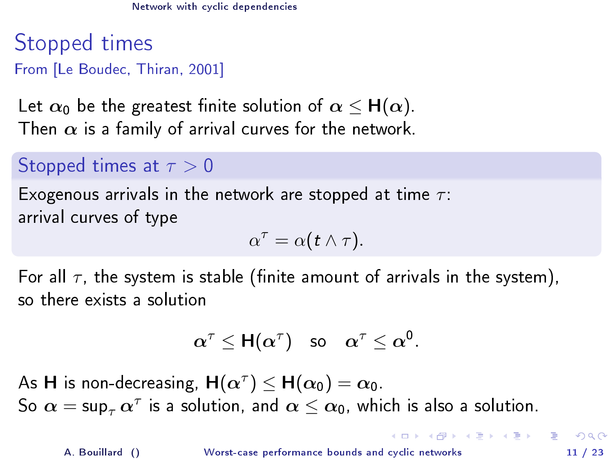Stopped times From [Le Boudec, Thiran, 2001]

Let  $\alpha_0$  be the greatest finite solution of  $\alpha \leq H(\alpha)$ . Then  $\alpha$  is a family of arrival curves for the network.

### Stopped times at  $\tau > 0$

Exogenous arrivals in the network are stopped at time  $\tau$ : arrival curves of type

$$
\alpha^{\tau} = \alpha(t \wedge \tau).
$$

For all  $\tau$ , the system is stable (finite amount of arrivals in the system), so there exists a solution

$$
\alpha^\tau \leq \mathsf{H}(\alpha^\tau) \quad \text{so} \quad \alpha^\tau \leq \alpha^0.
$$

As **H** is non-decreasing,  $\mathsf{H}(\alpha^{\tau}) \leq \mathsf{H}(\alpha_0) = \alpha_0$ . So  $\bm{\alpha} = \mathsf{sup}_{\tau} \, \bm{\alpha}^{\tau}$  is a solution, and  $\bm{\alpha} \leq \bm{\alpha_0}$ , which is also a solution.

<span id="page-11-0"></span> $\mathbf{A} \cap \mathbf{B} \rightarrow \mathbf{A} \oplus \mathbf{B} \rightarrow \mathbf{A} \oplus \mathbf{B} \rightarrow \mathbf{B} \oplus \mathbf{B} \oplus \mathbf{B} \oplus \mathbf{B} \oplus \mathbf{B} \oplus \mathbf{B} \oplus \mathbf{B} \oplus \mathbf{B} \oplus \mathbf{B} \oplus \mathbf{B} \oplus \mathbf{B} \oplus \mathbf{B} \oplus \mathbf{B} \oplus \mathbf{B} \oplus \mathbf{B} \oplus \mathbf{B} \oplus \mathbf{B} \oplus \mathbf{B} \oplus \mathbf{B} \opl$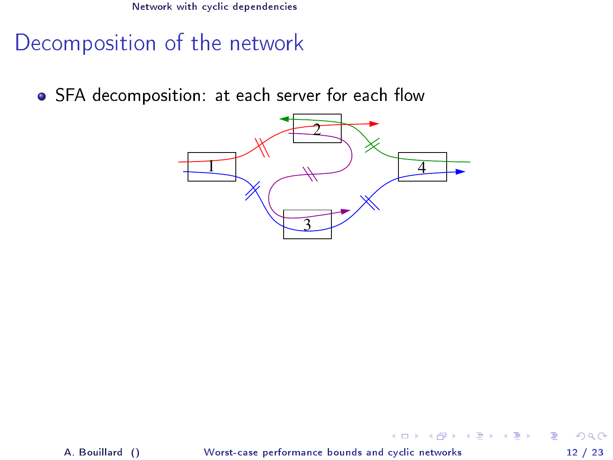Decomposition of the network

• SFA decomposition: at each server for each flow



A. Bouillard () [Worst-case performance bounds and cyclic networks](#page-0-0) 12 / 23

<span id="page-12-0"></span>э

 $($  ロ )  $($  何 )  $($  ヨ )  $($  ヨ  $)$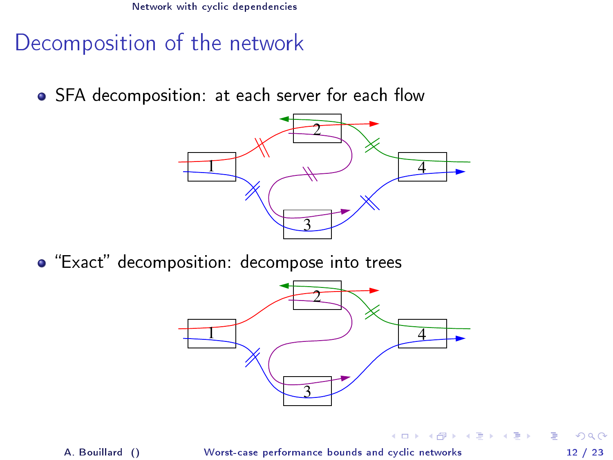Decomposition of the network

• SFA decomposition: at each server for each flow



 $\bullet$  "Exact" decomposition: decompose into trees



4 ロ ▶ (母

<span id="page-13-0"></span>医毛囊 医牙骨下的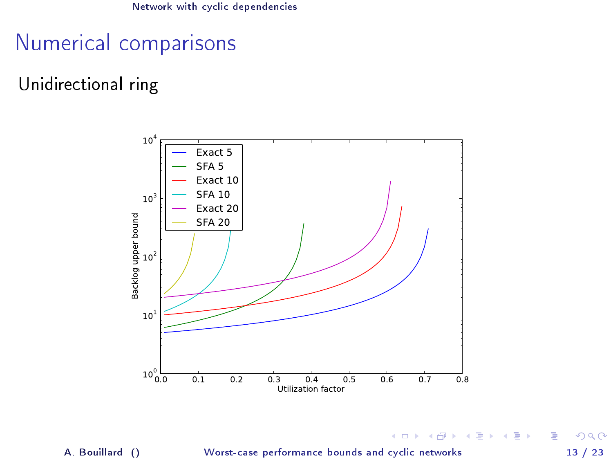## Numerical comparisons

#### Unidirectional ring



A. Bouillard () [Worst-case performance bounds and cyclic networks](#page-0-0) 13 / 23

э

<span id="page-14-0"></span> $299$ 

キロメ メ都 メメ きょうくぼう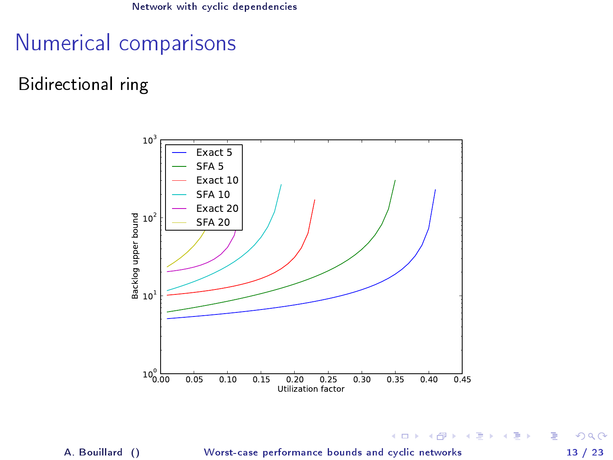### Numerical comparisons

#### Bidirectional ring



A. Bouillard () [Worst-case performance bounds and cyclic networks](#page-0-0) 13 / 23

 $299$ 

<span id="page-15-0"></span>э

キロメ メ都 メメ きょうくぼう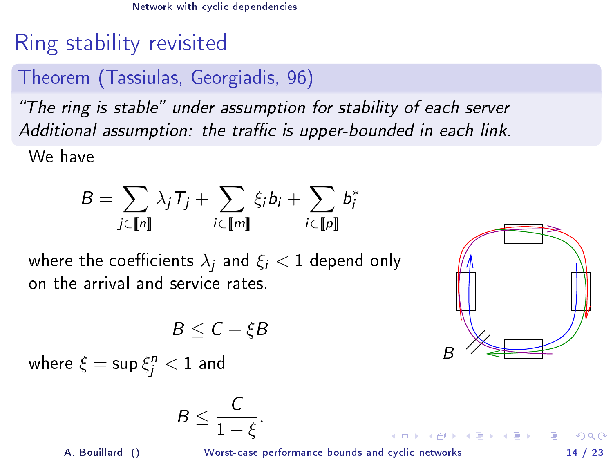# Ring stability revisited

### Theorem (Tassiulas, Georgiadis, 96)

"The ring is stable" under assumption for stability of each server Additional assumption: the traffic is upper-bounded in each link.

We have

$$
B = \sum_{j \in [\![n]\!]} \lambda_j T_j + \sum_{i \in [\![m]\!]} \xi_i b_i + \sum_{i \in [\![p]\!]} b_i^*
$$

where the coefficients  $\lambda_i$  and  $\xi_i < 1$  depend only on the arrival and service rates.

 $B \leq C + \varepsilon B$ 

$$
\bigoplus_{B}
$$

**K ロ ト K 何 ト K ヨ ト K ヨ ト ニヨ** 

where  $\xi = \sup \xi^n_j < 1$  and

$$
B\leq \frac{C}{1-\xi}.
$$

A. Bouillard () [Worst-case performance bounds and cyclic networks](#page-0-0) 14 / 23

<span id="page-16-0"></span> $QQ$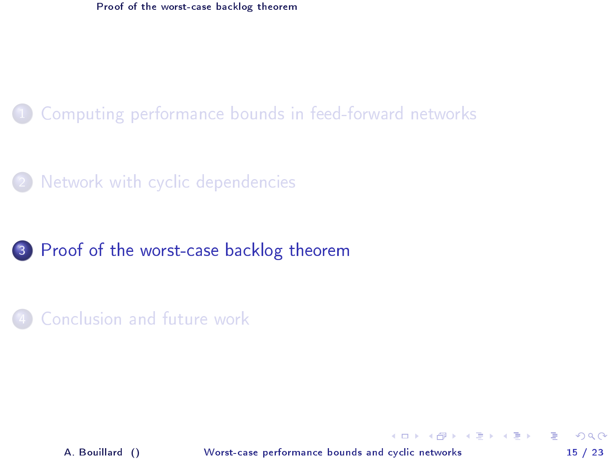#### [Computing performance bounds in feed-forward networks](#page-2-0)

[Network with cyclic dependencies](#page-7-0)

#### 3 [Proof of the worst-case backlog theorem](#page-17-0)

[Conclusion and future work](#page-25-0)

A. Bouillard () [Worst-case performance bounds and cyclic networks](#page-0-0) 15 / 23

<span id="page-17-0"></span>э

 $\left\{ \begin{array}{ccc} 1 & 0 & 0 \\ 0 & 1 & 0 \end{array} \right.$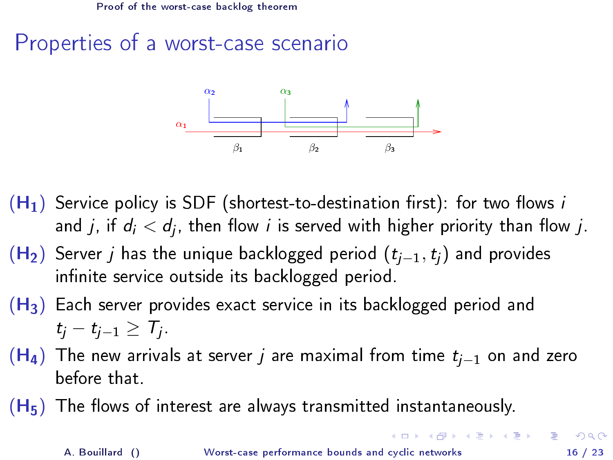# Properties of a worst-case scenario



- $(H_1)$  Service policy is SDF (shortest-to-destination first): for two flows i and  $j$ , if  $d_i < d_j$ , then flow  $i$  is served with higher priority than flow  $j$ .
- $(H<sub>2</sub>)$  Server j has the unique backlogged period  $(t<sub>i-1</sub>,t<sub>i</sub>)$  and provides infinite service outside its backlogged period.
- $(H<sub>3</sub>)$  Each server provides exact service in its backlogged period and  $t_j-t_{j-1}\geq \mathcal{T}_j$ .
- $(H<sub>4</sub>)$  The new arrivals at server j are maximal from time  $t<sub>i-1</sub>$  on and zero before that.
- $(H_5)$  The flows of interest are always transmitted instantaneously.

<span id="page-18-0"></span>K ロ ▶ K @ ▶ K 경 ▶ K 경 ▶ 《 경 》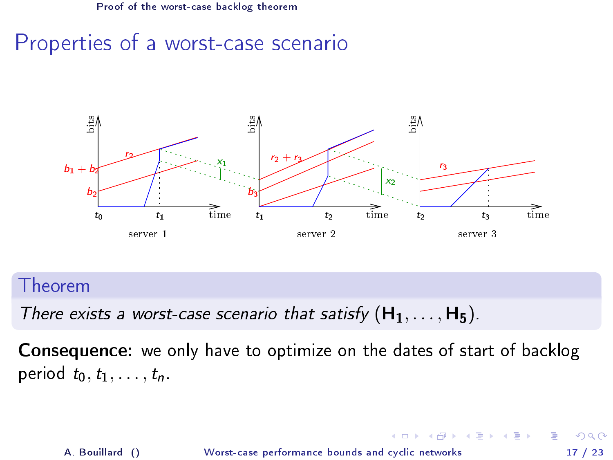### Properties of a worst-case scenario



Theorem

There exists a worst-case scenario that satisfy  $(H_1, \ldots, H_5)$ .

Consequence: we only have to optimize on the dates of start of backlog period  $t_0, t_1, \ldots, t_n$ .

A. Bouillard () [Worst-case performance bounds and cyclic networks](#page-0-0) 17 / 23

<span id="page-19-0"></span>( ロ ) ( 何 ) ( ヨ ) ( ヨ )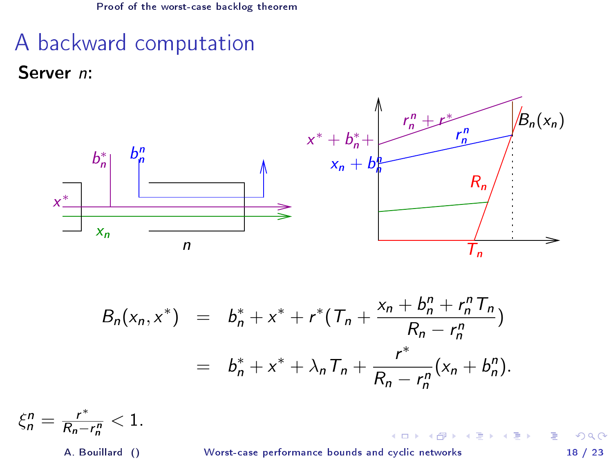# A backward computation

Server n:



$$
B_n(x_n, x^*) = b_n^* + x^* + r^* (T_n + \frac{x_n + b_n^n + r_n^n T_n}{R_n - r_n^n})
$$
  
=  $b_n^* + x^* + \lambda_n T_n + \frac{r^*}{R_n - r_n^n} (x_n + b_n^n).$ 

 $\xi_n^n = \frac{r^*}{R_n - r}$  $\frac{r^m}{R_n-r_n^n}<1$ .

A. Bouillard () [Worst-case performance bounds and cyclic networks](#page-0-0) 18 / 23

**← ロ → → イ 円** 

 $A \equiv \mathbb{R} \cup A \equiv \mathbb{R}$ 

<span id="page-20-0"></span> $298$ 

э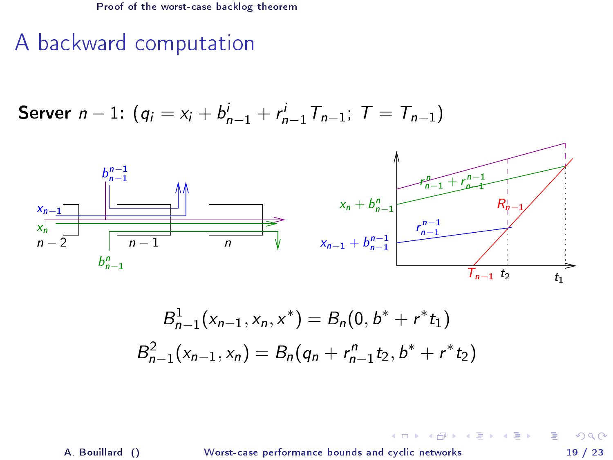## A backward computation

**Server** 
$$
n-1
$$
:  $(q_i = x_i + b_{n-1}^i + r_{n-1}^i) T_{n-1}$ ;  $T = T_{n-1}$ 



$$
B_{n-1}^1(x_{n-1}, x_n, x^*) = B_n(0, b^* + r^*t_1)
$$
  

$$
B_{n-1}^2(x_{n-1}, x_n) = B_n(q_n + r_{n-1}^n t_2, b^* + r^*t_2)
$$

A. Bouillard () [Worst-case performance bounds and cyclic networks](#page-0-0) 19 / 23

**K ロ ⊁ K 伊 ⊁** 

 $A \equiv \mathbb{R} \cup A \equiv \mathbb{R}$ 

<span id="page-21-0"></span> $299$ 

É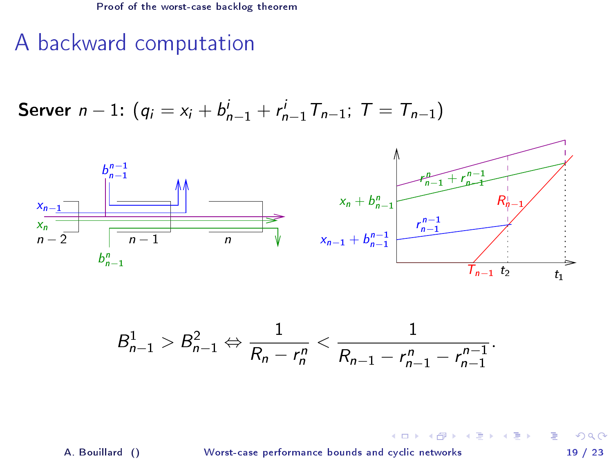## A backward computation

**Server** 
$$
n-1
$$
:  $(q_i = x_i + b_{n-1}^i + r_{n-1}^i) T_{n-1}$ ;  $T = T_{n-1}$ 



$$
B_{n-1}^1 > B_{n-1}^2 \Leftrightarrow \frac{1}{R_n - r_n^n} < \frac{1}{R_{n-1} - r_{n-1}^n - r_{n-1}^{n-1}}.
$$

A. Bouillard () [Worst-case performance bounds and cyclic networks](#page-0-0) 19 / 23

**K ロ ▶ K 得 ▶** 

 $\mathcal{A} \cong \mathcal{B} \times \mathcal{A} \cong \mathcal{B}$ 

<span id="page-22-0"></span> $299$ 

É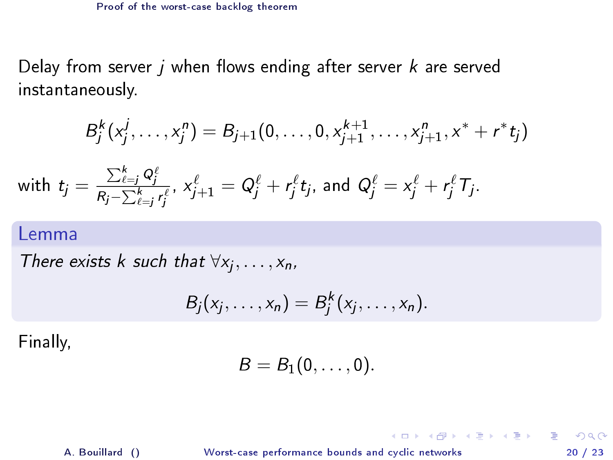Delay from server  $j$  when flows ending after server  $k$  are served instantaneously.

$$
B_j^k(x_j^j,\ldots,x_j^n)=B_{j+1}(0,\ldots,0,x_{j+1}^{k+1},\ldots,x_{j+1}^n,x^*+r^*t_j)
$$

with 
$$
t_j = \frac{\sum_{\ell=j}^k Q_j^{\ell}}{R_j - \sum_{\ell=j}^k r_j^{\ell}}, x_{j+1}^{\ell} = Q_j^{\ell} + r_j^{\ell} t_j
$$
, and  $Q_j^{\ell} = x_j^{\ell} + r_j^{\ell} T_j$ .

#### Lemma

There exists k such that  $\forall x_j, \ldots, x_n$ ,

$$
B_j(x_j,\ldots,x_n)=B_j^k(x_j,\ldots,x_n).
$$

Finally,

$$
B=B_1(0,\ldots,0).
$$

A. Bouillard () [Worst-case performance bounds and cyclic networks](#page-0-0) 20 / 23

<span id="page-23-0"></span>

K ロ ▶ K @ ▶ K 할 ▶ K 할 ▶ 이 할 → 900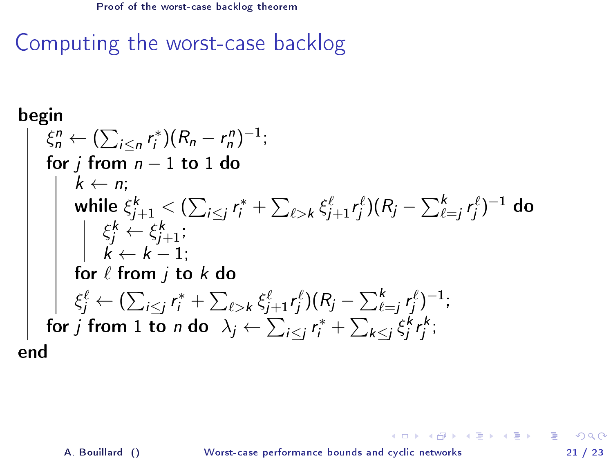Computing the worst-case backlog

begin
$$
\begin{array}{ll}\n\text{begin} \\
\xi_n^n \leftarrow (\sum_{i \le n} r_i^*)(R_n - r_n^n)^{-1}; \\
\text{for } j \text{ from } n-1 \text{ to } 1 \text{ do} \\
k \leftarrow n; \\
\text{while } \xi_{j+1}^k < (\sum_{i \le j} r_i^* + \sum_{\ell > k} \xi_{j+1}^{\ell} r_j^{\ell})(R_j - \sum_{\ell=j}^k r_j^{\ell})^{-1} \text{ do} \\
& \quad \left| \xi_j^k \leftarrow \xi_{j+1}^k; \\
k \leftarrow k-1; \\
\text{for } \ell \text{ from } j \text{ to } k \text{ do} \\
\xi_j^{\ell} \leftarrow (\sum_{i \le j} r_i^* + \sum_{\ell > k} \xi_{j+1}^{\ell} r_j^{\ell})(R_j - \sum_{\ell=j}^k r_j^{\ell})^{-1}; \\
\text{for } j \text{ from } 1 \text{ to } n \text{ do } \lambda_j \leftarrow \sum_{i \le j} r_i^* + \sum_{k \le j} \xi_j^k r_j^k; \\
\text{end}\n\end{array}
$$

A. Bouillard () [Worst-case performance bounds and cyclic networks](#page-0-0) 21 / 23

<span id="page-24-0"></span>**K ロ X (日) X 제공 X 제공 X - 공 : X 이익(N)**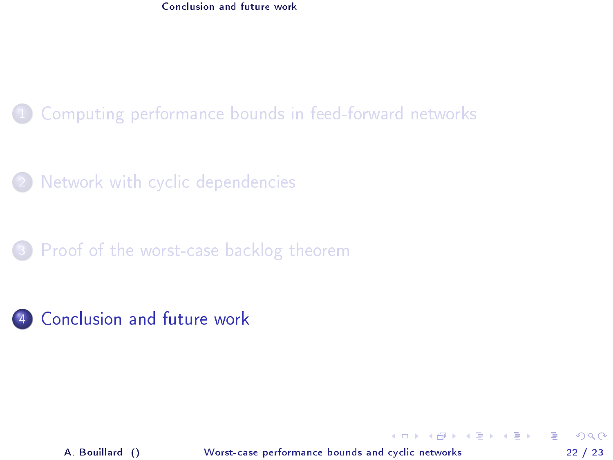[Conclusion and future work](#page-25-0)

### [Computing performance bounds in feed-forward networks](#page-2-0)

[Network with cyclic dependencies](#page-7-0)

[Proof of the worst-case backlog theorem](#page-17-0)



A. Bouillard () [Worst-case performance bounds and cyclic networks](#page-0-0) 22 / 23

<span id="page-25-0"></span> $\Omega$ 

э

イロト イ押ト イヨト イヨト